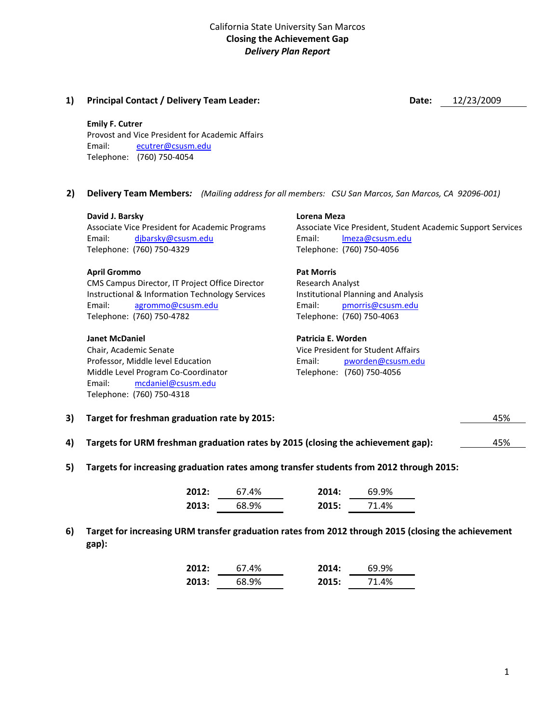#### **1) Principal Contact / Delivery Team Leader: Date:** 12/23/2009

#### **Emily F. Cutrer**

Provost and Vice President for Academic Affairs Email: [ecutrer@csusm.edu](mailto:ecutrer@csusm.edu) Telephone: (760) 750-4054

**2) Delivery Team Members***: (Mailing address for all members: CSU San Marcos, San Marcos, CA 92096-001)*

#### **David J. Barsky**

Associate Vice President for Academic Programs Email: [djbarsky@csusm.edu](mailto:djbarsky@csusm.edu) Telephone: (760) 750-4329

#### **April Grommo**

CMS Campus Director, IT Project Office Director Instructional & Information Technology Services Email: [agrommo@csusm.edu](mailto:agrommo@csusm.edu) Telephone: (760) 750-4782

#### **Janet McDaniel**

Chair, Academic Senate Professor, Middle level Education Middle Level Program Co-Coordinator Email: [mcdaniel@csusm.edu](mailto:mcdaniel@csusm.edu) Telephone: (760) 750-4318

#### **Lorena Meza** Associate Vice President, Student Academic Support Services Email: [lmeza@csusm.edu](mailto:lmeza@csusm.edu) Telephone: (760) 750-4056

### **Pat Morris**

Research Analyst Institutional Planning and Analysis Email: [pmorris@csusm.edu](mailto:pmorris@csusm.edu) Telephone: (760) 750-4063

#### **Patricia E. Worden**

Vice President for Student Affairs Email: [pworden@csusm.edu](mailto:pworden@csusm.edu) Telephone: (760) 750-4056

| 3) Target for freshman graduation rate by 2015: | 45% |  |
|-------------------------------------------------|-----|--|
|                                                 |     |  |

- **4) Targets for URM freshman graduation rates by 2015 (closing the achievement gap):** 45%
- **5) Targets for increasing graduation rates among transfer students from 2012 through 2015:**

| 2012: | 67.4% | 2014: | 69.9% |
|-------|-------|-------|-------|
| 2013: | 68.9% | 2015: | 71.4% |

**6) Target for increasing URM transfer graduation rates from 2012 through 2015 (closing the achievement gap):**

| 2012: | 67.4% | 2014: | 69.9% |
|-------|-------|-------|-------|
| 2013: | 68.9% | 2015: | 71.4% |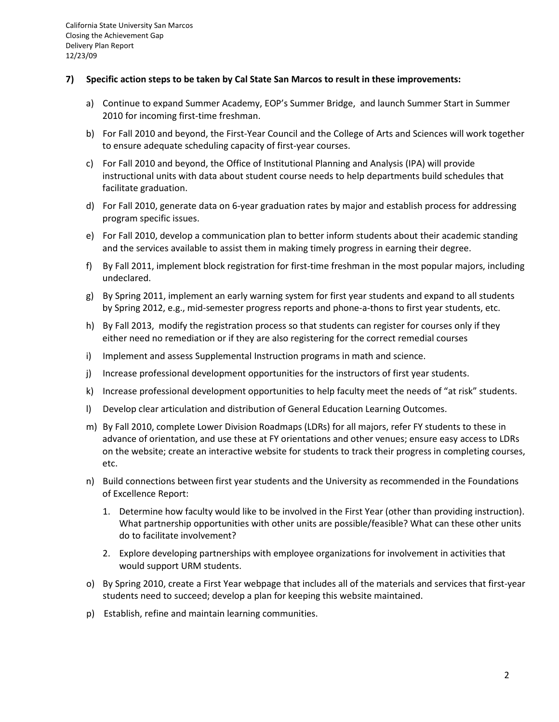#### **7) Specific action steps to be taken by Cal State San Marcos to result in these improvements:**

- a) Continue to expand Summer Academy, EOP's Summer Bridge, and launch Summer Start in Summer 2010 for incoming first-time freshman.
- b) For Fall 2010 and beyond, the First-Year Council and the College of Arts and Sciences will work together to ensure adequate scheduling capacity of first-year courses.
- c) For Fall 2010 and beyond, the Office of Institutional Planning and Analysis (IPA) will provide instructional units with data about student course needs to help departments build schedules that facilitate graduation.
- d) For Fall 2010, generate data on 6-year graduation rates by major and establish process for addressing program specific issues.
- e) For Fall 2010, develop a communication plan to better inform students about their academic standing and the services available to assist them in making timely progress in earning their degree.
- f) By Fall 2011, implement block registration for first-time freshman in the most popular majors, including undeclared.
- g) By Spring 2011, implement an early warning system for first year students and expand to all students by Spring 2012, e.g., mid-semester progress reports and phone-a-thons to first year students, etc.
- h) By Fall 2013, modify the registration process so that students can register for courses only if they either need no remediation or if they are also registering for the correct remedial courses
- i) Implement and assess Supplemental Instruction programs in math and science.
- j) Increase professional development opportunities for the instructors of first year students.
- k) Increase professional development opportunities to help faculty meet the needs of "at risk" students.
- l) Develop clear articulation and distribution of General Education Learning Outcomes.
- m) By Fall 2010, complete Lower Division Roadmaps (LDRs) for all majors, refer FY students to these in advance of orientation, and use these at FY orientations and other venues; ensure easy access to LDRs on the website; create an interactive website for students to track their progress in completing courses, etc.
- n) Build connections between first year students and the University as recommended in the Foundations of Excellence Report:
	- 1. Determine how faculty would like to be involved in the First Year (other than providing instruction). What partnership opportunities with other units are possible/feasible? What can these other units do to facilitate involvement?
	- 2. Explore developing partnerships with employee organizations for involvement in activities that would support URM students.
- o) By Spring 2010, create a First Year webpage that includes all of the materials and services that first-year students need to succeed; develop a plan for keeping this website maintained.
- p) Establish, refine and maintain learning communities.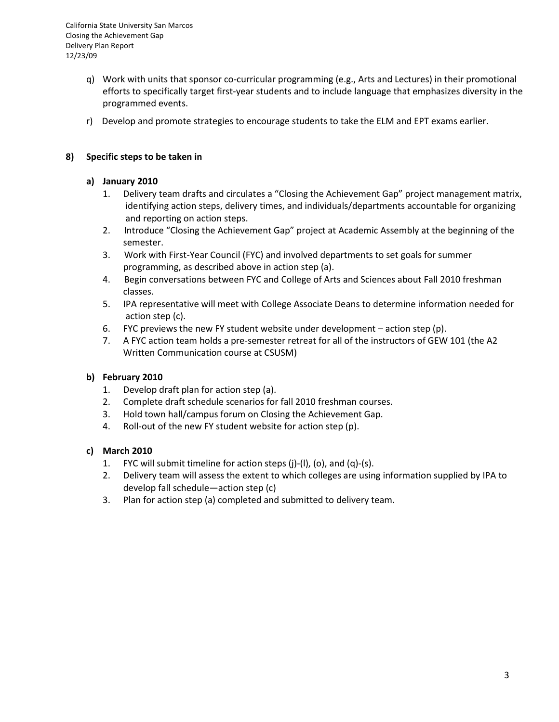California State University San Marcos Closing the Achievement Gap Delivery Plan Report 12/23/09

- q) Work with units that sponsor co-curricular programming (e.g., Arts and Lectures) in their promotional efforts to specifically target first-year students and to include language that emphasizes diversity in the programmed events.
- r) Develop and promote strategies to encourage students to take the ELM and EPT exams earlier.

## **8) Specific steps to be taken in**

## **a) January 2010**

- 1. Delivery team drafts and circulates a "Closing the Achievement Gap" project management matrix, identifying action steps, delivery times, and individuals/departments accountable for organizing and reporting on action steps.
- 2. Introduce "Closing the Achievement Gap" project at Academic Assembly at the beginning of the semester.
- 3. Work with First-Year Council (FYC) and involved departments to set goals for summer programming, as described above in action step (a).
- 4. Begin conversations between FYC and College of Arts and Sciences about Fall 2010 freshman classes.
- 5. IPA representative will meet with College Associate Deans to determine information needed for action step (c).
- 6. FYC previews the new FY student website under development  $-$  action step (p).
- 7. A FYC action team holds a pre-semester retreat for all of the instructors of GEW 101 (the A2 Written Communication course at CSUSM)

# **b) February 2010**

- 1. Develop draft plan for action step (a).
- 2. Complete draft schedule scenarios for fall 2010 freshman courses.
- 3. Hold town hall/campus forum on Closing the Achievement Gap.
- 4. Roll-out of the new FY student website for action step (p).

# **c) March 2010**

- 1. FYC will submit timeline for action steps (j)-(l), (o), and (q)-(s).
- 2. Delivery team will assess the extent to which colleges are using information supplied by IPA to develop fall schedule—action step (c)
- 3. Plan for action step (a) completed and submitted to delivery team.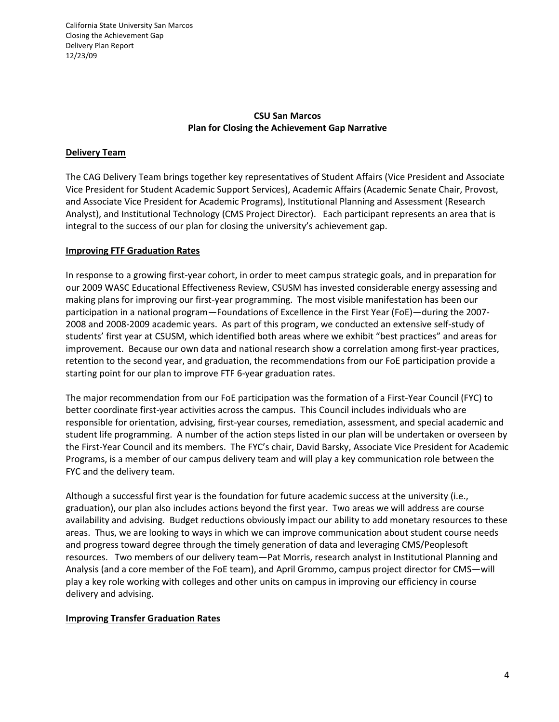California State University San Marcos Closing the Achievement Gap Delivery Plan Report 12/23/09

# **CSU San Marcos Plan for Closing the Achievement Gap Narrative**

# **Delivery Team**

The CAG Delivery Team brings together key representatives of Student Affairs (Vice President and Associate Vice President for Student Academic Support Services), Academic Affairs (Academic Senate Chair, Provost, and Associate Vice President for Academic Programs), Institutional Planning and Assessment (Research Analyst), and Institutional Technology (CMS Project Director). Each participant represents an area that is integral to the success of our plan for closing the university's achievement gap.

## **Improving FTF Graduation Rates**

In response to a growing first-year cohort, in order to meet campus strategic goals, and in preparation for our 2009 WASC Educational Effectiveness Review, CSUSM has invested considerable energy assessing and making plans for improving our first-year programming. The most visible manifestation has been our participation in a national program—Foundations of Excellence in the First Year (FoE)—during the 2007- 2008 and 2008-2009 academic years. As part of this program, we conducted an extensive self-study of students' first year at CSUSM, which identified both areas where we exhibit "best practices" and areas for improvement. Because our own data and national research show a correlation among first-year practices, retention to the second year, and graduation, the recommendations from our FoE participation provide a starting point for our plan to improve FTF 6-year graduation rates.

The major recommendation from our FoE participation was the formation of a First-Year Council (FYC) to better coordinate first-year activities across the campus. This Council includes individuals who are responsible for orientation, advising, first-year courses, remediation, assessment, and special academic and student life programming. A number of the action steps listed in our plan will be undertaken or overseen by the First-Year Council and its members. The FYC's chair, David Barsky, Associate Vice President for Academic Programs, is a member of our campus delivery team and will play a key communication role between the FYC and the delivery team.

Although a successful first year is the foundation for future academic success at the university (i.e., graduation), our plan also includes actions beyond the first year. Two areas we will address are course availability and advising. Budget reductions obviously impact our ability to add monetary resources to these areas. Thus, we are looking to ways in which we can improve communication about student course needs and progress toward degree through the timely generation of data and leveraging CMS/Peoplesoft resources. Two members of our delivery team—Pat Morris, research analyst in Institutional Planning and Analysis (and a core member of the FoE team), and April Grommo, campus project director for CMS—will play a key role working with colleges and other units on campus in improving our efficiency in course delivery and advising.

### **Improving Transfer Graduation Rates**